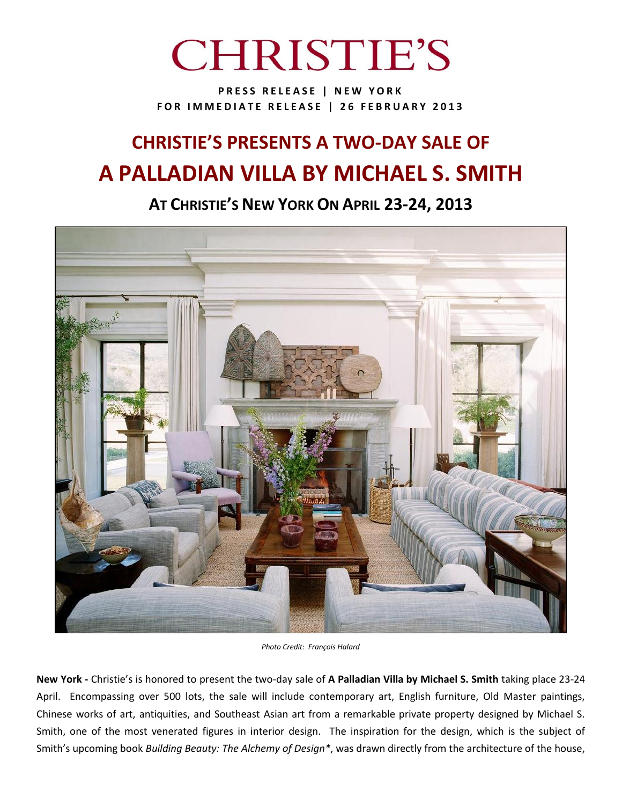# **CHRISTIE'S**

**P R E S S R E L E A S E | N E W Y O R K F O R I M M E D I A T E R E L E A S E | 2 6 F E B R U A R Y 201 3**

## **CHRISTIE'S PRESENTS A TWO-DAY SALE OF A PALLADIAN VILLA BY MICHAEL S. SMITH**

### **AT CHRISTIE'S NEW YORK ON APRIL 23-24, 2013**



*Photo Credit: François Halard*

**New York -** Christie's is honored to present the two-day sale of **A Palladian Villa by Michael S. Smith** taking place 23-24 April. Encompassing over 500 lots, the sale will include contemporary art, English furniture, Old Master paintings, Chinese works of art, antiquities, and Southeast Asian art from a remarkable private property designed by Michael S. Smith, one of the most venerated figures in interior design. The inspiration for the design, which is the subject of Smith's upcoming book *Building Beauty: The Alchemy of Design\**, was drawn directly from the architecture of the house,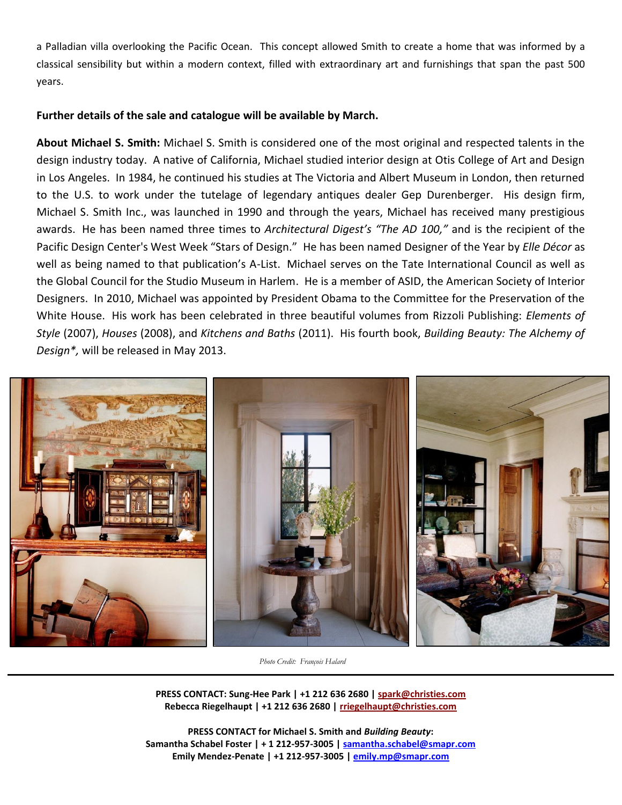a Palladian villa overlooking the Pacific Ocean. This concept allowed Smith to create a home that was informed by a classical sensibility but within a modern context, filled with extraordinary art and furnishings that span the past 500 years.

#### **Further details of the sale and catalogue will be available by March.**

**About Michael S. Smith:** Michael S. Smith is considered one of the most original and respected talents in the design industry today. A native of California, Michael studied interior design at Otis College of Art and Design in Los Angeles. In 1984, he continued his studies at The Victoria and Albert Museum in London, then returned to the U.S. to work under the tutelage of legendary antiques dealer Gep Durenberger. His design firm, Michael S. Smith Inc., was launched in 1990 and through the years, Michael has received many prestigious awards. He has been named three times to *Architectural Digest's "The AD 100,"* and is the recipient of the Pacific Design Center's West Week "Stars of Design." He has been named Designer of the Year by *Elle Décor* as well as being named to that publication's A-List. Michael serves on the Tate International Council as well as the Global Council for the Studio Museum in Harlem. He is a member of ASID, the American Society of Interior Designers. In 2010, Michael was appointed by President Obama to the Committee for the Preservation of the White House. His work has been celebrated in three beautiful volumes from Rizzoli Publishing: *Elements of Style* (2007), *Houses* (2008), and *Kitchens and Baths* (2011). His fourth book, *Building Beauty: The Alchemy of Design\*,* will be released in May 2013.



*Photo Credit: François Halard*

**PRESS CONTACT: Sung-Hee Park | +1 212 636 2680 | [spark@christies.com](mailto:spark@christies.com) Rebecca Riegelhaupt | +1 212 636 2680 [| rriegelhaupt@christies.com](mailto:rriegelhaupt@christies.com)**

**PRESS CONTACT for Michael S. Smith and** *Building Beauty***: Samantha Schabel Foster | + 1 212-957-3005 | [samantha.schabel@smapr.com](mailto:samantha.schabel@smapr.com) Emily Mendez-Penate | +1 212-957-3005 | [emily.mp@smapr.com](mailto:emily.mp@smapr,com)**